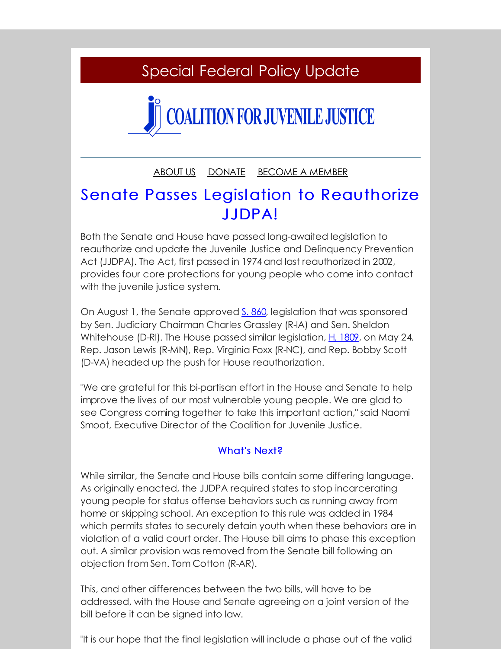## Special Federal Policy Update

# **COALITION FOR JUVENILE JUSTICE**

[ABOUT](http://r20.rs6.net/tn.jsp?f=00191q0TUWsmDdHz70BTI7hcte21CXkaPHeCu6joZwW32iWrrye-5dV_JbxpengzbYKfyFJ6T5J9cUJr4dOTirSrUeagtkzcCPzNJ68n2FEE90FpYyu0W2y8iqvnNxymZQ4LkdEFZo3YOiZdpxmv4YS_itr1tFR-s5-H01JdERFEH4mWxhXm9mWs_AWCZuugVra&c=&ch=) US [DONATE](http://r20.rs6.net/tn.jsp?f=00191q0TUWsmDdHz70BTI7hcte21CXkaPHeCu6joZwW32iWrrye-5dV_JbxpengzbYK7o0PNAaw6E-WCek0Lajt2-Ij15KDD34YJQCQREGCuTETQgR9vtCAXKuWSTcyD-7Xlfsi6eUwuP2C1HuUpo0fBTDL-MNln14tzRuieNZqm0tM2WFlppIXUG_V4hI4H4rqh-ta-5jgenM=&c=&ch=) [BECOME](http://r20.rs6.net/tn.jsp?f=00191q0TUWsmDdHz70BTI7hcte21CXkaPHeCu6joZwW32iWrrye-5dV_JbxpengzbYKhIXOvMXipX9qZTCSoehTX6bpMSK5jR1fkx6Eb69yUqpwCpDxJCcRTB2r0_S7hp3v02JqxW-7437gdjWcfZ6wY5f2u1B0YwieYG92HS-UNNGTlp_Ip88pyKcqFc3jX1PmA6pd_flwYpZFRk-xnK26eobiAFzspcwrjHZxkJo2inY=&c=&ch=) A MEMBER

## Senate Passes Legislation to Reauthorize JJDPA!

Both the Senate and House have passed long-awaited legislation to reauthorize and update the Juvenile Justice and Delinquency Prevention Act (JJDPA). The Act, first passed in 1974 and last reauthorized in 2002, provides four core protections for young people who come into contact with the juvenile justice system.

On August 1, the Senate approved S. [860](http://r20.rs6.net/tn.jsp?f=00191q0TUWsmDdHz70BTI7hcte21CXkaPHeCu6joZwW32iWrrye-5dV_F4ozZZ-PN6YDyiZ3n555L6Qpo93jn1lkOmYEz8VGHrKNpAg_Hpmy3fJsnEl2Vi_qPhs49ryyawZD3K3NtEBix-6okOe8gZ80YI8ANw3nV4LRWefaHgvZiHNAlyINJ439QG1r6BBiXpknvS8cQrqJlpPYm5FdVSMn65q2lwaPRwY&c=&ch=), legislation that was sponsored by Sen. Judiciary Chairman Charles Grassley (R-IA) and Sen. Sheldon Whitehouse (D-RI). The House passed similar legislation, H. [1809](http://r20.rs6.net/tn.jsp?f=00191q0TUWsmDdHz70BTI7hcte21CXkaPHeCu6joZwW32iWrrye-5dV_F4ozZZ-PN6YuhArcP3whPB6Pnvr_XOxTotw-BUsqiBo9M1Mi7rK1y_lrXUMuPMYnrWqb2R9m0XRa3xAaj7DyOyrmQ-5c71FW7o3a1hlXkVnaHue7bJr6rxYpd_FZ6HVqhY0Y0qmG8D1B-JuA33VAR5Lb3Nys7LHvz3P56htk77PdmIXbWE3WW8=&c=&ch=), on May 24. Rep. Jason Lewis (R-MN), Rep. Virginia Foxx (R-NC), and Rep. Bobby Scott (D-VA) headed up the push for House reauthorization.

"We are grateful for this bi-partisan effort in the House and Senate to help improve the lives of our most vulnerable young people. We are glad to see Congress coming together to take this important action," said Naomi Smoot, Executive Director of the Coalition for Juvenile Justice.

### What's Next?

While similar, the Senate and House bills contain some differing language. As originally enacted, the JJDPA required states to stop incarcerating young people for status offense behaviors such as running away from home or skipping school. An exception to this rule was added in 1984 which permits states to securely detain youth when these behaviors are in violation of a valid court order. The House bill aims to phase this exception out. A similar provision was removed from the Senate bill following an objection from Sen. Tom Cotton (R-AR).

This, and other differences between the two bills, will have to be addressed, with the House and Senate agreeing on a joint version of the bill before it can be signed into law.

"It is our hope that the final legislation will include a phase out of the valid